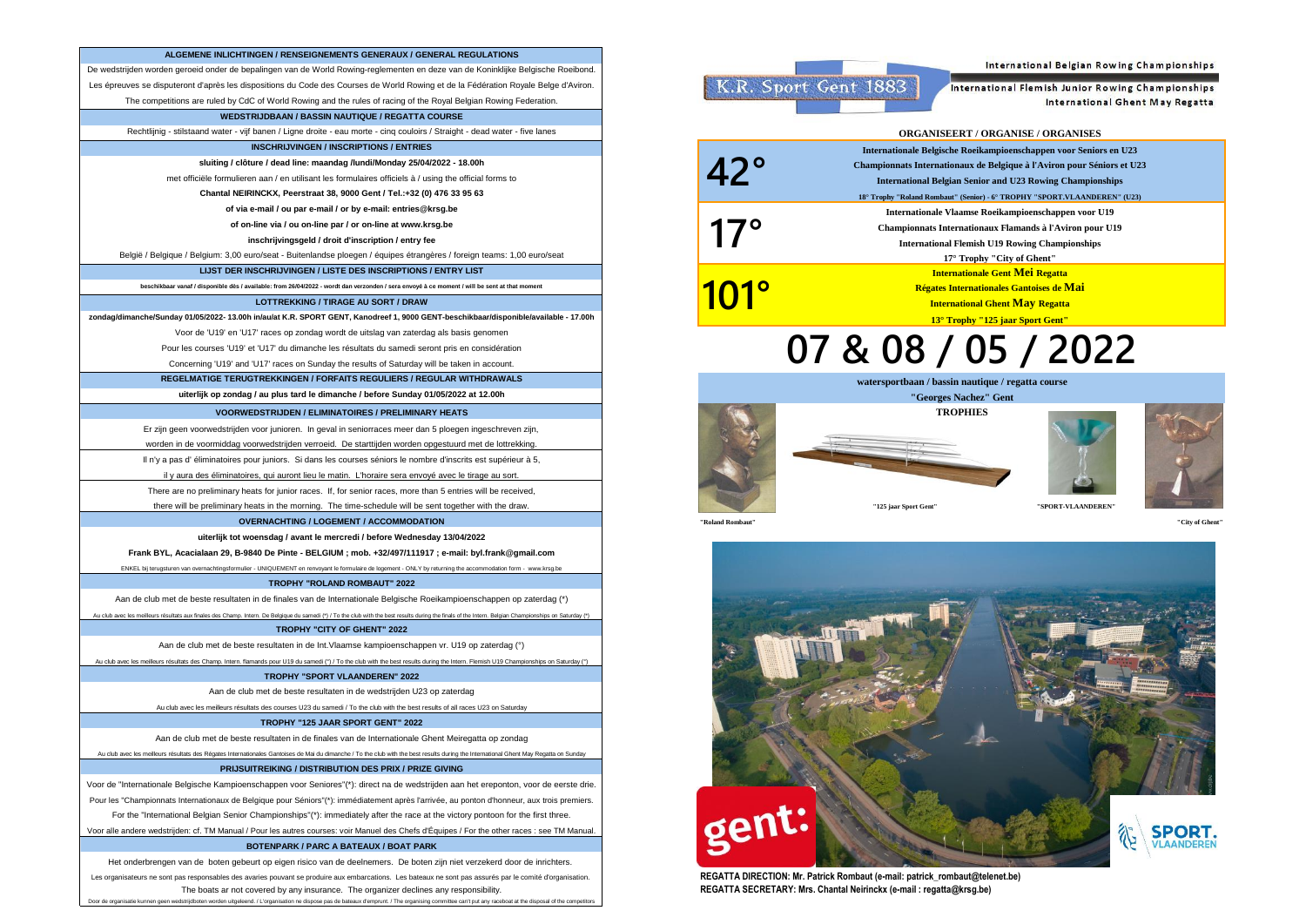| ALGEMENE INLICHTINGEN / RENSEIGNEMENTS GENERAUX / GENERAL REGULATIONS                                                                                                                                                                                                                                                                                                                                                      |
|----------------------------------------------------------------------------------------------------------------------------------------------------------------------------------------------------------------------------------------------------------------------------------------------------------------------------------------------------------------------------------------------------------------------------|
|                                                                                                                                                                                                                                                                                                                                                                                                                            |
| De wedstrijden worden geroeid onder de bepalingen van de World Rowing-reglementen en deze van de Koninklijke Belgische Roeibond.                                                                                                                                                                                                                                                                                           |
| Les épreuves se disputeront d'après les dispositions du Code des Courses de World Rowing et de la Fédération Royale Belge d'Aviron.                                                                                                                                                                                                                                                                                        |
| The competitions are ruled by CdC of World Rowing and the rules of racing of the Royal Belgian Rowing Federation.                                                                                                                                                                                                                                                                                                          |
| WEDSTRIJDBAAN / BASSIN NAUTIQUE / REGATTA COURSE                                                                                                                                                                                                                                                                                                                                                                           |
| Rechtlijnig - stilstaand water - vijf banen / Ligne droite - eau morte - cinq couloirs / Straight - dead water - five lanes                                                                                                                                                                                                                                                                                                |
| <b>INSCHRIJVINGEN / INSCRIPTIONS / ENTRIES</b>                                                                                                                                                                                                                                                                                                                                                                             |
| sluiting / clôture / dead line: maandag /lundi/Monday 25/04/2022 - 18.00h                                                                                                                                                                                                                                                                                                                                                  |
| met officiële formulieren aan / en utilisant les formulaires officiels à / using the official forms to                                                                                                                                                                                                                                                                                                                     |
| Chantal NEIRINCKX, Peerstraat 38, 9000 Gent / Tel.:+32 (0) 476 33 95 63                                                                                                                                                                                                                                                                                                                                                    |
| of via e-mail / ou par e-mail / or by e-mail: entries@krsg.be                                                                                                                                                                                                                                                                                                                                                              |
| of on-line via / ou on-line par / or on-line at www.krsg.be                                                                                                                                                                                                                                                                                                                                                                |
| inschrijvingsgeld / droit d'inscription / entry fee                                                                                                                                                                                                                                                                                                                                                                        |
| België / Belgique / Belgium: 3,00 euro/seat - Buitenlandse ploegen / équipes étrangères / foreign teams: 1,00 euro/seat                                                                                                                                                                                                                                                                                                    |
| LIJST DER INSCHRIJVINGEN / LISTE DES INSCRIPTIONS / ENTRY LIST                                                                                                                                                                                                                                                                                                                                                             |
| beschikbaar vanaf / disponible dès / available: from 26/04/2022 - wordt dan verzonden / sera envové à ce moment / will be sent at that moment                                                                                                                                                                                                                                                                              |
| LOTTREKKING / TIRAGE AU SORT / DRAW                                                                                                                                                                                                                                                                                                                                                                                        |
| zondag/dimanche/Sunday 01/05/2022-13.00h in/au/at K.R. SPORT GENT, Kanodreef 1, 9000 GENT-beschikbaar/disponible/available - 17.00h                                                                                                                                                                                                                                                                                        |
| Voor de 'U19' en 'U17' races op zondag wordt de uitslag van zaterdag als basis genomen                                                                                                                                                                                                                                                                                                                                     |
| Pour les courses 'U19' et 'U17' du dimanche les résultats du samedi seront pris en considération                                                                                                                                                                                                                                                                                                                           |
| Concerning 'U19' and 'U17' races on Sunday the results of Saturday will be taken in account.                                                                                                                                                                                                                                                                                                                               |
| REGELMATIGE TERUGTREKKINGEN / FORFAITS REGULIERS / REGULAR WITHDRAWALS                                                                                                                                                                                                                                                                                                                                                     |
| uiterlijk op zondag / au plus tard le dimanche / before Sunday 01/05/2022 at 12.00h                                                                                                                                                                                                                                                                                                                                        |
| <b>VOORWEDSTRIJDEN / ELIMINATOIRES / PRELIMINARY HEATS</b>                                                                                                                                                                                                                                                                                                                                                                 |
| Er zijn geen voorwedstrijden voor junioren. In geval in seniorraces meer dan 5 ploegen ingeschreven zijn,                                                                                                                                                                                                                                                                                                                  |
| worden in de voormiddag voorwedstrijden verroeid. De starttijden worden opgestuurd met de lottrekking.                                                                                                                                                                                                                                                                                                                     |
| Il n'y a pas d'éliminatoires pour juniors. Si dans les courses séniors le nombre d'inscrits est supérieur à 5,                                                                                                                                                                                                                                                                                                             |
| il y aura des éliminatoires, qui auront lieu le matin. L'horaire sera envoyé avec le tirage au sort.                                                                                                                                                                                                                                                                                                                       |
|                                                                                                                                                                                                                                                                                                                                                                                                                            |
|                                                                                                                                                                                                                                                                                                                                                                                                                            |
| There are no preliminary heats for junior races. If, for senior races, more than 5 entries will be received,                                                                                                                                                                                                                                                                                                               |
| there will be preliminary heats in the morning. The time-schedule will be sent together with the draw.                                                                                                                                                                                                                                                                                                                     |
| <b>OVERNACHTING / LOGEMENT / ACCOMMODATION</b>                                                                                                                                                                                                                                                                                                                                                                             |
| uiterlijk tot woensdag / avant le mercredi / before Wednesday 13/04/2022                                                                                                                                                                                                                                                                                                                                                   |
| Frank BYL, Acacialaan 29, B-9840 De Pinte - BELGIUM ; mob. +32/497/111917 ; e-mail: byl.frank@gmail.com                                                                                                                                                                                                                                                                                                                    |
| ENKEL bij terugsturen van overnachtingsformulier - UNIQUEMENT en renvoyant le formulaire de logement - ONLY by returning the accommodation form - www.krsg.be                                                                                                                                                                                                                                                              |
| TROPHY "ROLAND ROMBAUT" 2022                                                                                                                                                                                                                                                                                                                                                                                               |
| Aan de club met de beste resultaten in de finales van de Internationale Belgische Roeikampioenschappen op zaterdag (*)                                                                                                                                                                                                                                                                                                     |
| Au club avec les meilleurs résultats aux finales des Champ. Intern. De Belgique du samedi (*) / To the club with the best results during the finals of the Intern. Belgian Championships on Saturday (*)                                                                                                                                                                                                                   |
| TROPHY "CITY OF GHENT" 2022                                                                                                                                                                                                                                                                                                                                                                                                |
| Aan de club met de beste resultaten in de Int. Vlaamse kampioenschappen vr. U19 op zaterdag (°)                                                                                                                                                                                                                                                                                                                            |
| Au club avec les meilleurs résultats des Champ. Intern. flamands pour U19 du samedi (°) / To the club with the best results during the Intern. Flemish U19 Championships on Saturday (°)                                                                                                                                                                                                                                   |
| TROPHY "SPORT VLAANDEREN" 2022                                                                                                                                                                                                                                                                                                                                                                                             |
| Aan de club met de beste resultaten in de wedstrijden U23 op zaterdag                                                                                                                                                                                                                                                                                                                                                      |
| Au club avec les meilleurs résultats des courses U23 du samedi / To the club with the best results of all races U23 on Saturday                                                                                                                                                                                                                                                                                            |
| TROPHY "125 JAAR SPORT GENT" 2022                                                                                                                                                                                                                                                                                                                                                                                          |
| Aan de club met de beste resultaten in de finales van de Internationale Ghent Meiregatta op zondag                                                                                                                                                                                                                                                                                                                         |
| Au club avec les meilleurs résultats des Régates Internationales Gantoises de Mai du dimanche / To the club with the best results during the International Ghent May Regatta on Sunday                                                                                                                                                                                                                                     |
| PRIJSUITREIKING / DISTRIBUTION DES PRIX / PRIZE GIVING                                                                                                                                                                                                                                                                                                                                                                     |
|                                                                                                                                                                                                                                                                                                                                                                                                                            |
| Pour les "Championnats Internationaux de Belgique pour Séniors"(*): immédiatement après l'arrivée, au ponton d'honneur, aux trois premiers.                                                                                                                                                                                                                                                                                |
| Voor de "Internationale Belgische Kampioenschappen voor Seniores"(*): direct na de wedstrijden aan het ereponton, voor de eerste drie.<br>For the "International Belgian Senior Championships"(*): immediately after the race at the victory pontoon for the first three.<br>Voor alle andere wedstrijden: cf. TM Manual / Pour les autres courses: voir Manuel des Chefs d'Équipes / For the other races : see TM Manual. |

The boats ar not covered by any insurance. The organizer declines any responsibility. Les organisateurs ne sont pas responsables des avaries pouvant se produire aux embarcations. Les bateaux ne sont pas assurés par le comité d'organisation. Het onderbrengen van de boten gebeurt op eigen risico van de deelnemers. De boten zijn niet verzekerd door de inrichters.

Door de organisatie kunnen geen wedstrijdboten worden uitgeleend. / L'organisation ne dispose pas de bateaux d'emprunt. / The organising committee can't put any raceboat at the disposal of the compe



International Flemish Junior Rowing Championships

International Belgian Rowing Championships

International Ghent May Regatta

|              | <b>ORGANISEERT / ORGANISE / ORGANISES</b>                                                                                                                                                                                                                                                    |
|--------------|----------------------------------------------------------------------------------------------------------------------------------------------------------------------------------------------------------------------------------------------------------------------------------------------|
| $42^\circ$   | Internationale Belgische Roeikampioenschappen voor Seniors en U23<br>Championnats Internationaux de Belgique à l'Aviron pour Séniors et U23<br><b>International Belgian Senior and U23 Rowing Championships</b><br>18° Trophy "Roland Rombaut" (Senior) - 6° TROPHY "SPORT.VLAANDEREN" (U23) |
| $17^\circ$   | Internationale Vlaamse Roeikampioenschappen voor U19<br>Championnats Internationaux Flamands à l'Aviron pour U19<br><b>International Flemish U19 Rowing Championships</b><br>17° Trophy "City of Ghent"                                                                                      |
| <u> 101°</u> | <b>Internationale Gent Mei Regatta</b><br>Régates Internationales Gantoises de Mai<br><b>International Ghent May Regatta</b><br>13° Trophy "125 jaar Sport Gent"                                                                                                                             |
|              |                                                                                                                                                                                                                                                                                              |

## **07 & 08 / 05 / 2022**

**TROPHIES watersportbaan / bassin nautique / regatta course "Georges Nachez" Gent**





**"SPORT-VLAANDEREN"**



**"Roland Rombaut" "City of Ghent"**

**101°**



**REGATTA SECRETARY: Mrs. Chantal Neirinckx (e-mail : regatta@krsg.be) REGATTA DIRECTION: Mr. Patrick Rombaut (e-mail: patrick\_rombaut@telenet.be)**